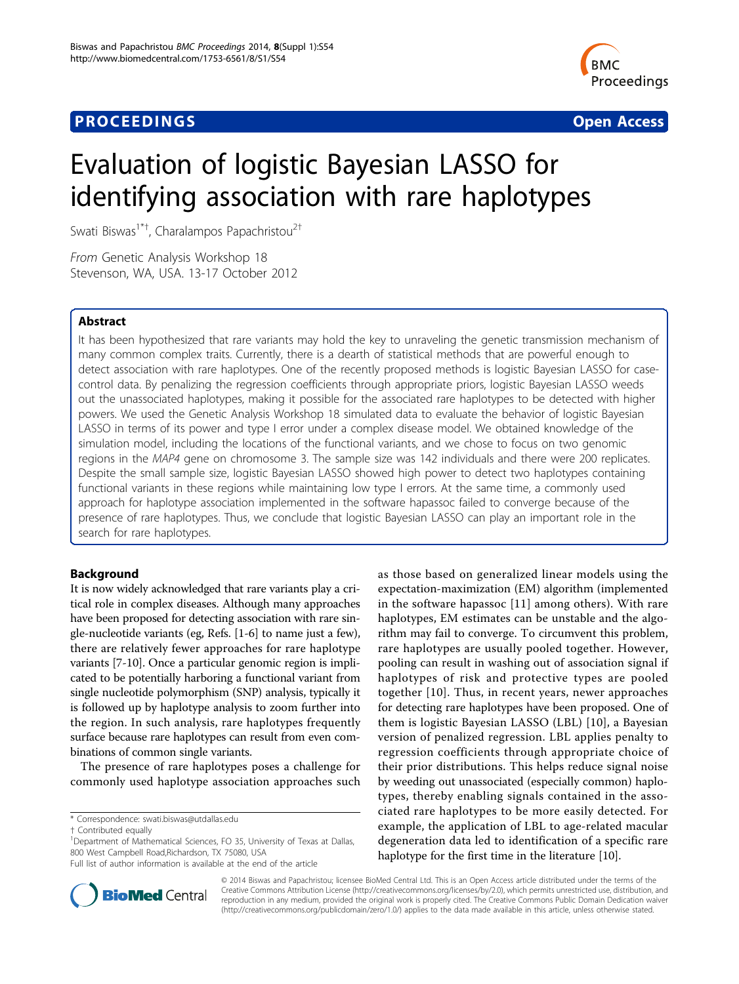# **PROCEEDINGS CONSUMING S** Open Access **CONSUMING S**



# Evaluation of logistic Bayesian LASSO for identifying association with rare haplotypes

Swati Biswas<sup>1\*†</sup>, Charalampos Papachristou<sup>2†</sup>

From Genetic Analysis Workshop 18 Stevenson, WA, USA. 13-17 October 2012

# Abstract

It has been hypothesized that rare variants may hold the key to unraveling the genetic transmission mechanism of many common complex traits. Currently, there is a dearth of statistical methods that are powerful enough to detect association with rare haplotypes. One of the recently proposed methods is logistic Bayesian LASSO for casecontrol data. By penalizing the regression coefficients through appropriate priors, logistic Bayesian LASSO weeds out the unassociated haplotypes, making it possible for the associated rare haplotypes to be detected with higher powers. We used the Genetic Analysis Workshop 18 simulated data to evaluate the behavior of logistic Bayesian LASSO in terms of its power and type I error under a complex disease model. We obtained knowledge of the simulation model, including the locations of the functional variants, and we chose to focus on two genomic regions in the MAP4 gene on chromosome 3. The sample size was 142 individuals and there were 200 replicates. Despite the small sample size, logistic Bayesian LASSO showed high power to detect two haplotypes containing functional variants in these regions while maintaining low type I errors. At the same time, a commonly used approach for haplotype association implemented in the software hapassoc failed to converge because of the presence of rare haplotypes. Thus, we conclude that logistic Bayesian LASSO can play an important role in the search for rare haplotypes.

# Background

It is now widely acknowledged that rare variants play a critical role in complex diseases. Although many approaches have been proposed for detecting association with rare single-nucleotide variants (eg, Refs. [\[1-6](#page-4-0)] to name just a few), there are relatively fewer approaches for rare haplotype variants [[7-10\]](#page-4-0). Once a particular genomic region is implicated to be potentially harboring a functional variant from single nucleotide polymorphism (SNP) analysis, typically it is followed up by haplotype analysis to zoom further into the region. In such analysis, rare haplotypes frequently surface because rare haplotypes can result from even combinations of common single variants.

The presence of rare haplotypes poses a challenge for commonly used haplotype association approaches such

\* Correspondence: [swati.biswas@utdallas.edu](mailto:swati.biswas@utdallas.edu)

as those based on generalized linear models using the expectation-maximization (EM) algorithm (implemented in the software hapassoc [[11\]](#page-4-0) among others). With rare haplotypes, EM estimates can be unstable and the algorithm may fail to converge. To circumvent this problem, rare haplotypes are usually pooled together. However, pooling can result in washing out of association signal if haplotypes of risk and protective types are pooled together [[10](#page-4-0)]. Thus, in recent years, newer approaches for detecting rare haplotypes have been proposed. One of them is logistic Bayesian LASSO (LBL) [[10](#page-4-0)], a Bayesian version of penalized regression. LBL applies penalty to regression coefficients through appropriate choice of their prior distributions. This helps reduce signal noise by weeding out unassociated (especially common) haplotypes, thereby enabling signals contained in the associated rare haplotypes to be more easily detected. For example, the application of LBL to age-related macular degeneration data led to identification of a specific rare haplotype for the first time in the literature [[10](#page-4-0)].



© 2014 Biswas and Papachristou; licensee BioMed Central Ltd. This is an Open Access article distributed under the terms of the Creative Commons Attribution License (<http://creativecommons.org/licenses/by/2.0>), which permits unrestricted use, distribution, and reproduction in any medium, provided the original work is properly cited. The Creative Commons Public Domain Dedication waiver [\(http://creativecommons.org/publicdomain/zero/1.0/](http://creativecommons.org/publicdomain/zero/1.0/)) applies to the data made available in this article, unless otherwise stated.

<sup>†</sup> Contributed equally <sup>1</sup>

<sup>&</sup>lt;sup>1</sup>Department of Mathematical Sciences, FO 35, University of Texas at Dallas, 800 West Campbell Road,Richardson, TX 75080, USA

Full list of author information is available at the end of the article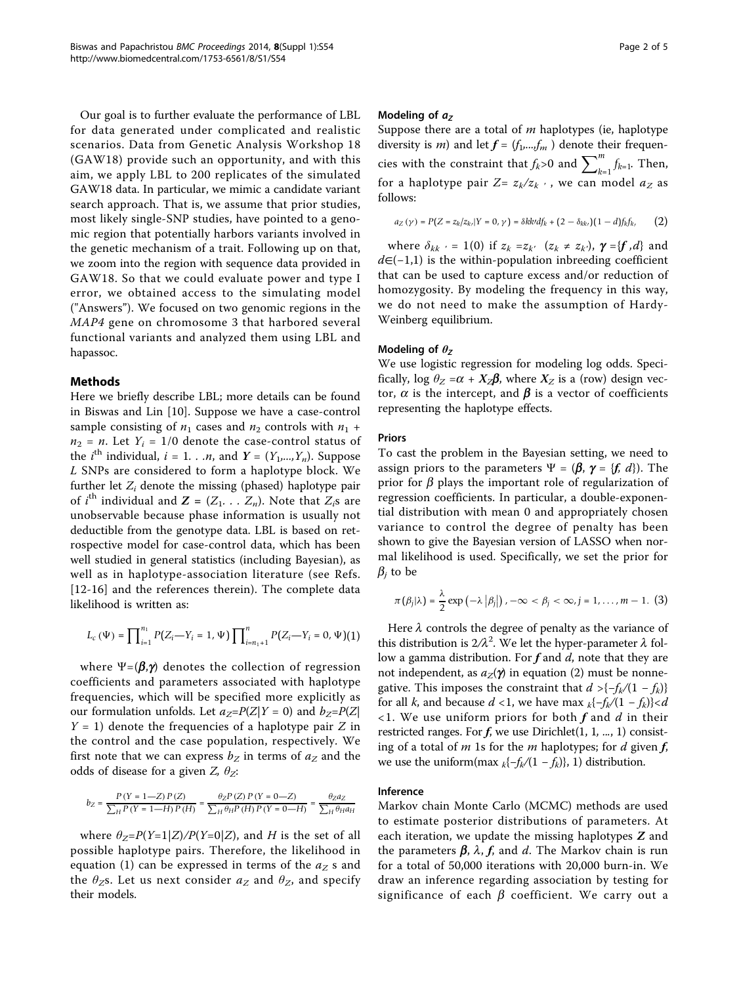Our goal is to further evaluate the performance of LBL for data generated under complicated and realistic scenarios. Data from Genetic Analysis Workshop 18 (GAW18) provide such an opportunity, and with this aim, we apply LBL to 200 replicates of the simulated GAW18 data. In particular, we mimic a candidate variant search approach. That is, we assume that prior studies, most likely single-SNP studies, have pointed to a genomic region that potentially harbors variants involved in the genetic mechanism of a trait. Following up on that, we zoom into the region with sequence data provided in GAW18. So that we could evaluate power and type I error, we obtained access to the simulating model ("Answers"). We focused on two genomic regions in the MAP4 gene on chromosome 3 that harbored several functional variants and analyzed them using LBL and hapassoc.

# Methods

Here we briefly describe LBL; more details can be found in Biswas and Lin [\[10](#page-4-0)]. Suppose we have a case-control sample consisting of  $n_1$  cases and  $n_2$  controls with  $n_1$  +  $n_2$  = n. Let  $Y_i$  = 1/0 denote the case-control status of the *i*<sup>th</sup> individual, *i* = 1. . .*n*, and  $Y = (Y_1, ..., Y_n)$ . Suppose L SNPs are considered to form a haplotype block. We further let  $Z_i$  denote the missing (phased) haplotype pair of *i*<sup>th</sup> individual and  $Z = (Z_1, \ldots, Z_n)$ . Note that  $Z_i$ s are unobservable because phase information is usually not deductible from the genotype data. LBL is based on retrospective model for case-control data, which has been well studied in general statistics (including Bayesian), as well as in haplotype-association literature (see Refs. [[12](#page-4-0)-[16\]](#page-4-0) and the references therein). The complete data likelihood is written as:

$$
L_{c}\left(\Psi\right)=\prod\nolimits_{i=1}^{n_{1}}P(Z_{i}-Y_{i}=1,\Psi)\prod\nolimits_{i=n_{1}+1}^{n}P(Z_{i}-Y_{i}=0,\Psi)(1)
$$

where  $\Psi = (\beta, \gamma)$  denotes the collection of regression coefficients and parameters associated with haplotype frequencies, which will be specified more explicitly as our formulation unfolds. Let  $a_Z = P(Z|Y = 0)$  and  $b_Z = P(Z|Y = 0)$  $Y = 1$ ) denote the frequencies of a haplotype pair Z in the control and the case population, respectively. We first note that we can express  $b_Z$  in terms of  $a_Z$  and the odds of disease for a given Z,  $\theta_Z$ :

$$
b_Z=\dfrac{P\left(Y=1-Z\right)P\left(Z\right)}{\sum_{H}P\left(Y=1-H\right)P\left(H\right)}=\dfrac{\theta_Z P\left(Z\right)P\left(Y=0-Z\right)}{\sum_{H}\theta_H P\left(H\right)P\left(Y=0-H\right)}=\dfrac{\theta_Z a_Z}{\sum_{H}\theta_H a_H}
$$

where  $\theta_Z = P(Y=1|Z)/P(Y=0|Z)$ , and H is the set of all possible haplotype pairs. Therefore, the likelihood in equation (1) can be expressed in terms of the  $a_Z$  s and the  $\theta_Z$ s. Let us next consider  $a_Z$  and  $\theta_Z$ , and specify their models.

## Modeling of  $a<sub>z</sub>$

Suppose there are a total of  $m$  haplotypes (ie, haplotype diversity is *m*) and let  $f = (f_1, \ldots, f_m)$  denote their frequencies with the constraint that  $f_k$ >0 and  $\sum_{k=1}^m f_{k=1}$ . Then, for a haplotype pair  $Z = z_k/z_k$ , we can model  $a_z$  as follows:

$$
a_Z\left(\gamma\right)=P\big(Z=z_k/z_k,|Y=0,\gamma\big)=\delta kk^{\prime}df_k+\big(2-\delta_{kk}\big)\big(1-d\big)f_kf_k,\qquad \ \ \big(2\big)
$$

where  $\delta_{kk}$   $\cdot$  = 1(0) if  $z_k = z_{k'}$   $(z_k \neq z_{k'})$ ,  $\gamma = \{f, d\}$  and  $d\epsilon(-1,1)$  is the within-population inbreeding coefficient that can be used to capture excess and/or reduction of homozygosity. By modeling the frequency in this way, we do not need to make the assumption of Hardy-Weinberg equilibrium.

# Modeling of  $\theta$ z

We use logistic regression for modeling log odds. Specifically, log  $\theta_Z = \alpha + X_Z\beta$ , where  $X_Z$  is a (row) design vector,  $\alpha$  is the intercept, and  $\beta$  is a vector of coefficients representing the haplotype effects.

## Priors

To cast the problem in the Bayesian setting, we need to assign priors to the parameters  $\Psi = (\beta, \gamma = \{f, d\})$ . The prior for  $\beta$  plays the important role of regularization of regression coefficients. In particular, a double-exponential distribution with mean 0 and appropriately chosen variance to control the degree of penalty has been shown to give the Bayesian version of LASSO when normal likelihood is used. Specifically, we set the prior for  $\beta_i$  to be

$$
\pi(\beta_j|\lambda) = \frac{\lambda}{2} \exp(-\lambda |\beta_j|), -\infty < \beta_j < \infty, j = 1, \ldots, m-1.
$$
 (3)

Here  $\lambda$  controls the degree of penalty as the variance of this distribution is  $2/\lambda^2$ . We let the hyper-parameter  $\lambda$  follow a gamma distribution. For  $f$  and  $d$ , note that they are not independent, as  $a_{z}(\gamma)$  in equation (2) must be nonnegative. This imposes the constraint that  $d > {f_k/(1 - f_k)}$ for all k, and because  $d < 1$ , we have max  $_k\{-f_k/(1 - f_k)\} < d$  $\langle$ 1. We use uniform priors for both f and d in their restricted ranges. For  $f$ , we use Dirichlet $(1, 1, ..., 1)$  consisting of a total of  $m$  1s for the  $m$  haplotypes; for  $d$  given  $f$ , we use the uniform(max  $_k\{-f_k/(1 - f_k)\}, 1)$  distribution.

## Inference

Markov chain Monte Carlo (MCMC) methods are used to estimate posterior distributions of parameters. At each iteration, we update the missing haplotypes  $Z$  and the parameters  $\beta$ ,  $\lambda$ ,  $f$ , and d. The Markov chain is run for a total of 50,000 iterations with 20,000 burn-in. We draw an inference regarding association by testing for significance of each  $\beta$  coefficient. We carry out a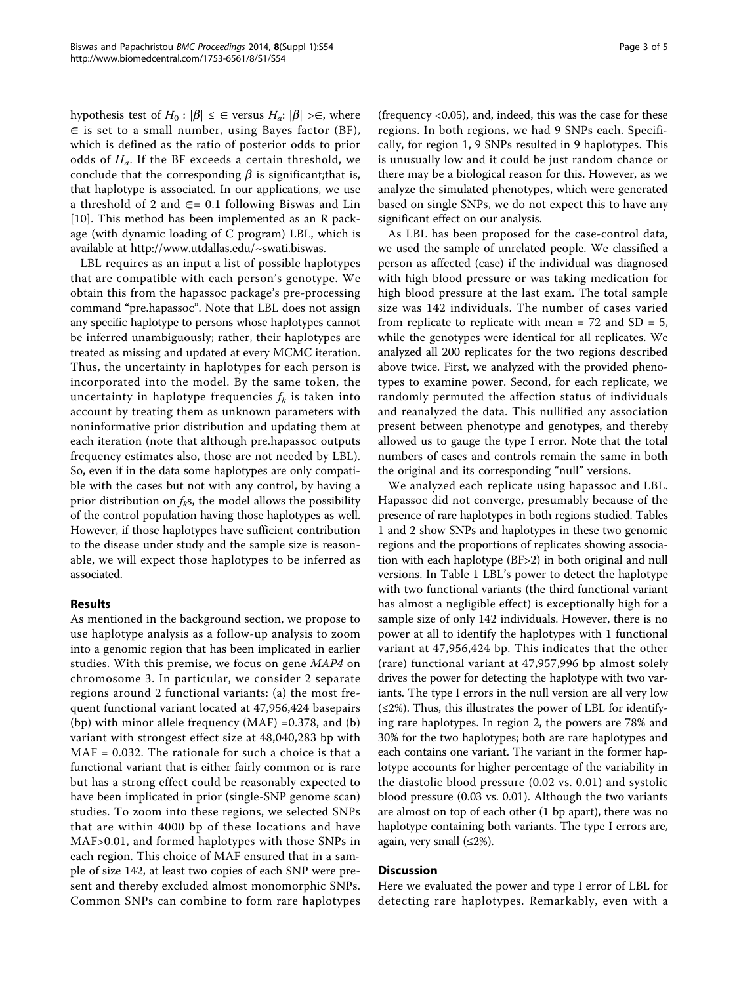hypothesis test of  $H_0 : |\beta| \leq \epsilon$  versus  $H_a : |\beta| \geq \epsilon$ , where ∈ is set to a small number, using Bayes factor (BF), which is defined as the ratio of posterior odds to prior odds of  $H_a$ . If the BF exceeds a certain threshold, we conclude that the corresponding  $\beta$  is significant;that is, that haplotype is associated. In our applications, we use a threshold of 2 and  $∈= 0.1$  following Biswas and Lin [[10\]](#page-4-0). This method has been implemented as an R package (with dynamic loading of C program) LBL, which is available at [http://www.utdallas.edu/~swati.biswas.](http://www.utdallas.edu/~swati.biswas)

LBL requires as an input a list of possible haplotypes that are compatible with each person's genotype. We obtain this from the hapassoc package's pre-processing command "pre.hapassoc". Note that LBL does not assign any specific haplotype to persons whose haplotypes cannot be inferred unambiguously; rather, their haplotypes are treated as missing and updated at every MCMC iteration. Thus, the uncertainty in haplotypes for each person is incorporated into the model. By the same token, the uncertainty in haplotype frequencies  $f_k$  is taken into account by treating them as unknown parameters with noninformative prior distribution and updating them at each iteration (note that although pre.hapassoc outputs frequency estimates also, those are not needed by LBL). So, even if in the data some haplotypes are only compatible with the cases but not with any control, by having a prior distribution on  $f_k$ s, the model allows the possibility of the control population having those haplotypes as well. However, if those haplotypes have sufficient contribution to the disease under study and the sample size is reasonable, we will expect those haplotypes to be inferred as associated.

# Results

As mentioned in the background section, we propose to use haplotype analysis as a follow-up analysis to zoom into a genomic region that has been implicated in earlier studies. With this premise, we focus on gene MAP4 on chromosome 3. In particular, we consider 2 separate regions around 2 functional variants: (a) the most frequent functional variant located at 47,956,424 basepairs (bp) with minor allele frequency  $(MAF) = 0.378$ , and (b) variant with strongest effect size at 48,040,283 bp with MAF = 0.032. The rationale for such a choice is that a functional variant that is either fairly common or is rare but has a strong effect could be reasonably expected to have been implicated in prior (single-SNP genome scan) studies. To zoom into these regions, we selected SNPs that are within 4000 bp of these locations and have MAF>0.01, and formed haplotypes with those SNPs in each region. This choice of MAF ensured that in a sample of size 142, at least two copies of each SNP were present and thereby excluded almost monomorphic SNPs. Common SNPs can combine to form rare haplotypes

(frequency <0.05), and, indeed, this was the case for these regions. In both regions, we had 9 SNPs each. Specifically, for region 1, 9 SNPs resulted in 9 haplotypes. This is unusually low and it could be just random chance or there may be a biological reason for this. However, as we analyze the simulated phenotypes, which were generated based on single SNPs, we do not expect this to have any significant effect on our analysis.

As LBL has been proposed for the case-control data, we used the sample of unrelated people. We classified a person as affected (case) if the individual was diagnosed with high blood pressure or was taking medication for high blood pressure at the last exam. The total sample size was 142 individuals. The number of cases varied from replicate to replicate with mean =  $72$  and SD =  $5$ , while the genotypes were identical for all replicates. We analyzed all 200 replicates for the two regions described above twice. First, we analyzed with the provided phenotypes to examine power. Second, for each replicate, we randomly permuted the affection status of individuals and reanalyzed the data. This nullified any association present between phenotype and genotypes, and thereby allowed us to gauge the type I error. Note that the total numbers of cases and controls remain the same in both the original and its corresponding "null" versions.

We analyzed each replicate using hapassoc and LBL. Hapassoc did not converge, presumably because of the presence of rare haplotypes in both regions studied. Tables [1](#page-3-0) and [2](#page-3-0) show SNPs and haplotypes in these two genomic regions and the proportions of replicates showing association with each haplotype (BF>2) in both original and null versions. In Table [1](#page-3-0) LBL's power to detect the haplotype with two functional variants (the third functional variant has almost a negligible effect) is exceptionally high for a sample size of only 142 individuals. However, there is no power at all to identify the haplotypes with 1 functional variant at 47,956,424 bp. This indicates that the other (rare) functional variant at 47,957,996 bp almost solely drives the power for detecting the haplotype with two variants. The type I errors in the null version are all very low  $(\leq 2\%)$ . Thus, this illustrates the power of LBL for identifying rare haplotypes. In region 2, the powers are 78% and 30% for the two haplotypes; both are rare haplotypes and each contains one variant. The variant in the former haplotype accounts for higher percentage of the variability in the diastolic blood pressure (0.02 vs. 0.01) and systolic blood pressure (0.03 vs. 0.01). Although the two variants are almost on top of each other (1 bp apart), there was no haplotype containing both variants. The type I errors are, again, very small  $(\leq 2\%)$ .

## **Discussion**

Here we evaluated the power and type I error of LBL for detecting rare haplotypes. Remarkably, even with a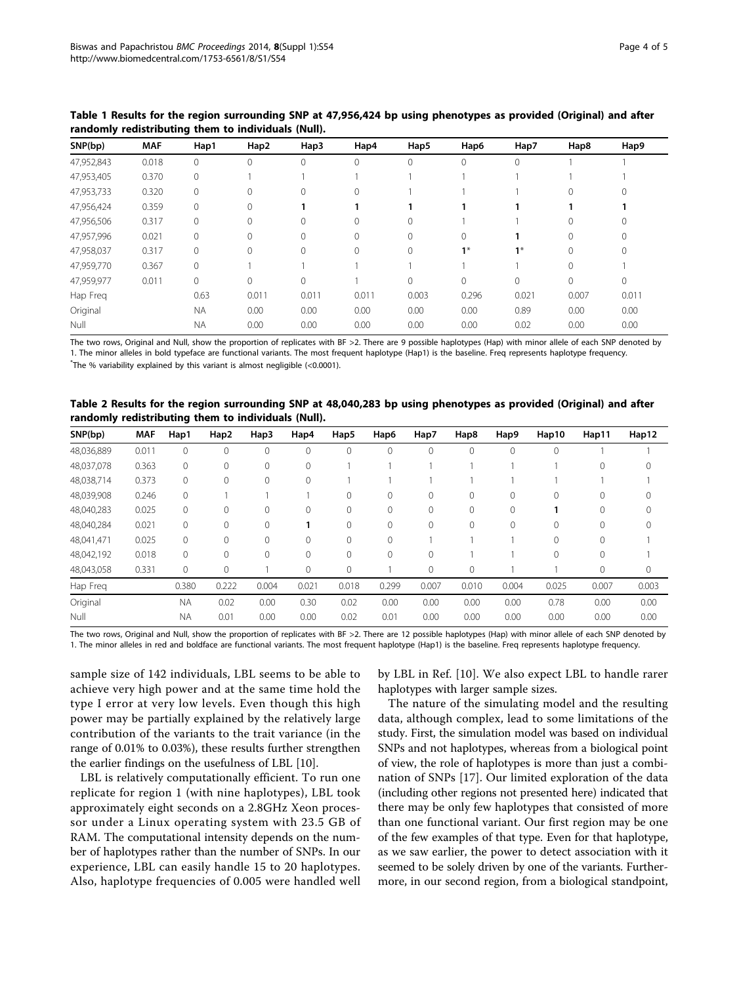| SNP(bp)    | <b>MAF</b> | Hap1      | Hap2        | Hap3  | Hap4     | Hap5     | Hap6     | Hap7  | Hap8         | Hap9     |  |
|------------|------------|-----------|-------------|-------|----------|----------|----------|-------|--------------|----------|--|
| 47,952,843 | 0.018      | $\Omega$  |             | 0     | $\Omega$ | 0        | $\Omega$ | 0     |              |          |  |
| 47,953,405 | 0.370      | $\Omega$  |             |       |          |          |          |       |              |          |  |
| 47,953,733 | 0.320      | $\Omega$  |             | 0     | $\Omega$ |          |          |       | $\Omega$     | 0        |  |
| 47,956,424 | 0.359      | $\Omega$  | $\mathbf 0$ |       |          |          |          |       |              |          |  |
| 47,956,506 | 0.317      | $\Omega$  | 0           | 0     | $\Omega$ | $\Omega$ |          |       | $\Omega$     | $\Omega$ |  |
| 47,957,996 | 0.021      | $\Omega$  |             | 0     | $\Omega$ | $\Omega$ | $\Omega$ |       | $\Omega$     | $\Omega$ |  |
| 47,958,037 | 0.317      | $\Omega$  |             | 0     | $\Omega$ | 0        | $1*$     | $1^*$ | $\Omega$     | $\Omega$ |  |
| 47,959,770 | 0.367      | $\Omega$  |             |       |          |          |          |       | $\Omega$     |          |  |
| 47,959,977 | 0.011      | $\Omega$  |             | 0     |          | 0        | $\Omega$ | 0     | $\mathbf{0}$ | 0        |  |
| Hap Freg   |            | 0.63      | 0.011       | 0.011 | 0.011    | 0.003    | 0.296    | 0.021 | 0.007        | 0.011    |  |
| Original   |            | <b>NA</b> | 0.00        | 0.00  | 0.00     | 0.00     | 0.00     | 0.89  | 0.00         | 0.00     |  |
| Null       |            | <b>NA</b> | 0.00        | 0.00  | 0.00     | 0.00     | 0.00     | 0.02  | 0.00         | 0.00     |  |

<span id="page-3-0"></span>Table 1 Results for the region surrounding SNP at 47,956,424 bp using phenotypes as provided (Original) and after randomly redistributing them to individuals (Null).

The two rows, Original and Null, show the proportion of replicates with BF >2. There are 9 possible haplotypes (Hap) with minor allele of each SNP denoted by 1. The minor alleles in bold typeface are functional variants. The most frequent haplotype (Hap1) is the baseline. Freq represents haplotype frequency.

 $\text{"The % variability explained by this variant is almost negligible } (\text{<0.0001}).$ 

Table 2 Results for the region surrounding SNP at 48,040,283 bp using phenotypes as provided (Original) and after randomly redistributing them to individuals (Null).

| SNP(bp)    | <b>MAF</b> | Hap1         | Hap2         | Hap3         | Hap4     | Hap5     | Hap6     | Hap7     | Hap8         | Hap9     | Hap10       | Hap11    | Hap12    |
|------------|------------|--------------|--------------|--------------|----------|----------|----------|----------|--------------|----------|-------------|----------|----------|
| 48,036,889 | 0.011      | $\mathbf 0$  | 0            | $\mathbf{0}$ | 0        |          | 0        | 0        | $\mathbf{0}$ | 0        | $\mathbf 0$ |          |          |
| 48,037,078 | 0.363      | $\mathbf{0}$ | $\Omega$     | $\Omega$     | $\Omega$ |          |          |          |              |          |             | $\Omega$ | 0        |
| 48,038,714 | 0.373      | $\mathbf{0}$ | $\Omega$     | $\mathbf{0}$ | $\Omega$ |          |          |          |              |          |             |          |          |
| 48,039,908 | 0.246      | $\mathbf{0}$ |              |              |          |          | 0        | 0        | $\circ$      | $\Omega$ | $\mathbf 0$ | 0        |          |
| 48,040,283 | 0.025      | $\mathbf{0}$ | $\Omega$     | $\mathbf{0}$ | 0        |          | 0        | $\Omega$ | $\mathbf{0}$ | 0        |             | 0        | $\Omega$ |
| 48,040,284 | 0.021      | $\mathbf{0}$ | $\Omega$     | $\Omega$     |          | $\Omega$ | $\Omega$ | $\Omega$ | $\mathbf{0}$ | $\Omega$ | $\Omega$    | $\Omega$ | $\Omega$ |
| 48,041,471 | 0.025      | $\mathbf{0}$ | $\Omega$     | $\circ$      | $\Omega$ | $\Omega$ | $\Omega$ |          |              |          | $\Omega$    | $\Omega$ |          |
| 48,042,192 | 0.018      | $\mathbf{0}$ | $\Omega$     | $\mathbf{0}$ | $\Omega$ | 0        | 0        | 0        |              |          | $\Omega$    | $\Omega$ |          |
| 48,043,058 | 0.331      | $\mathbf 0$  | $\mathbf{0}$ |              | 0        | 0        |          | 0        | $\mathbf 0$  |          |             | 0        | 0        |
| Hap Freq   |            | 0.380        | 0.222        | 0.004        | 0.021    | 0.018    | 0.299    | 0.007    | 0.010        | 0.004    | 0.025       | 0.007    | 0.003    |
| Original   |            | <b>NA</b>    | 0.02         | 0.00         | 0.30     | 0.02     | 0.00     | 0.00     | 0.00         | 0.00     | 0.78        | 0.00     | 0.00     |
| Null       |            | <b>NA</b>    | 0.01         | 0.00         | 0.00     | 0.02     | 0.01     | 0.00     | 0.00         | 0.00     | 0.00        | 0.00     | 0.00     |

The two rows, Original and Null, show the proportion of replicates with BF >2. There are 12 possible haplotypes (Hap) with minor allele of each SNP denoted by 1. The minor alleles in red and boldface are functional variants. The most frequent haplotype (Hap1) is the baseline. Freq represents haplotype frequency.

sample size of 142 individuals, LBL seems to be able to achieve very high power and at the same time hold the type I error at very low levels. Even though this high power may be partially explained by the relatively large contribution of the variants to the trait variance (in the range of 0.01% to 0.03%), these results further strengthen the earlier findings on the usefulness of LBL [[10\]](#page-4-0).

LBL is relatively computationally efficient. To run one replicate for region 1 (with nine haplotypes), LBL took approximately eight seconds on a 2.8GHz Xeon processor under a Linux operating system with 23.5 GB of RAM. The computational intensity depends on the number of haplotypes rather than the number of SNPs. In our experience, LBL can easily handle 15 to 20 haplotypes. Also, haplotype frequencies of 0.005 were handled well

by LBL in Ref. [[10\]](#page-4-0). We also expect LBL to handle rarer haplotypes with larger sample sizes.

The nature of the simulating model and the resulting data, although complex, lead to some limitations of the study. First, the simulation model was based on individual SNPs and not haplotypes, whereas from a biological point of view, the role of haplotypes is more than just a combination of SNPs [[17](#page-4-0)]. Our limited exploration of the data (including other regions not presented here) indicated that there may be only few haplotypes that consisted of more than one functional variant. Our first region may be one of the few examples of that type. Even for that haplotype, as we saw earlier, the power to detect association with it seemed to be solely driven by one of the variants. Furthermore, in our second region, from a biological standpoint,